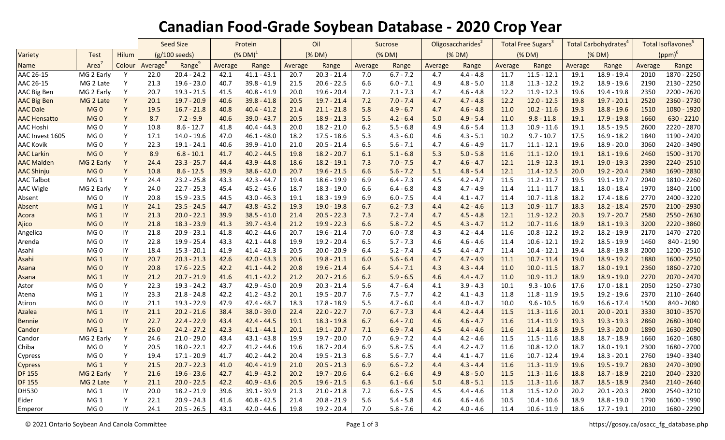## **Canadian Food-Grade Soybean Database - 2020 Crop Year**

|                     |                   |                        | <b>Seed Size</b> |                    | Protein                |               | Oil     |               | Sucrose |             | Oligosaccharides <sup>2</sup> |             | Total Free Sugars <sup>3</sup> |               | Total Carbohydrates <sup>4</sup> |               | Total Isoflavones <sup>5</sup> |               |
|---------------------|-------------------|------------------------|------------------|--------------------|------------------------|---------------|---------|---------------|---------|-------------|-------------------------------|-------------|--------------------------------|---------------|----------------------------------|---------------|--------------------------------|---------------|
| Variety             | <b>Test</b>       | Hilum                  | (g/100 seeds)    |                    | $(\%$ DM) <sup>1</sup> |               | (% DM)  |               | (% DM)  |             | (% DM)                        |             | (% DM)                         |               | (% DM)                           |               | $(ppm)^6$                      |               |
| Name                | Area <sup>7</sup> | Colour                 | Average          | Range <sup>9</sup> | Average                | Range         | Average | Range         | Average | Range       | Average                       | Range       | Average                        | Range         | Average                          | Range         | Average                        | Range         |
| AAC 26-15           | MG 2 Early        | Y                      | 22.0             | $20.4 - 24.2$      | 42.1                   | $41.1 - 43.1$ | 20.7    | $20.3 - 21.4$ | 7.0     | $6.7 - 7.2$ | 4.7                           | $4.4 - 4.8$ | 11.7                           | $11.5 - 12.1$ | 19.1                             | $18.9 - 19.4$ | 2010                           | $1870 - 2250$ |
| AAC 26-15           | MG 2 Late         | Υ                      | 21.3             | $19.6 - 23.0$      | 40.7                   | $39.8 - 41.9$ | 21.5    | $20.6 - 22.5$ | 6.6     | $6.0 - 7.1$ | 4.9                           | $4.8 - 5.0$ | 11.8                           | $11.3 - 12.2$ | 19.2                             | $18.9 - 19.6$ | 2190                           | 2130 - 2250   |
| AAC Big Ben         | MG 2 Early        | Y                      | 20.7             | $19.3 - 21.5$      | 41.5                   | $40.8 - 41.9$ | 20.0    | $19.6 - 20.4$ | 7.2     | $7.1 - 7.3$ | 4.7                           | $4.6 - 4.8$ | 12.2                           | $11.9 - 12.3$ | 19.6                             | 19.4 - 19.8   | 2350                           | 2200 - 2620   |
| <b>AAC Big Ben</b>  | MG 2 Late         | Y                      | 20.1             | $19.7 - 20.9$      | 40.6                   | $39.8 - 41.8$ | 20.5    | $19.7 - 21.4$ | 7.2     | $7.0 - 7.4$ | 4.7                           | $4.7 - 4.8$ | 12.2                           | $12.0 - 12.5$ | 19.8                             | $19.7 - 20.1$ | 2520                           | 2360 - 2730   |
| <b>AAC Dale</b>     | MG <sub>0</sub>   | Y                      | 19.5             | $16.7 - 21.8$      | 40.8                   | $40.4 - 41.2$ | 21.4    | $21.1 - 21.8$ | 5.8     | $4.9 - 6.7$ | 4.7                           | $4.6 - 4.8$ | 11.0                           | $10.2 - 11.6$ | 19.3                             | $18.8 - 19.6$ | 1510                           | 1080 - 1920   |
| <b>AAC Hensatto</b> | MG <sub>0</sub>   | Υ                      | 8.7              | $7.2 - 9.9$        | 40.6                   | $39.0 - 43.7$ | 20.5    | $18.9 - 21.3$ | 5.5     | $4.2 - 6.4$ | 5.0                           | $4.9 - 5.4$ | 11.0                           | $9.8 - 11.8$  | 19.1                             | $17.9 - 19.8$ | 1660                           | $630 - 2210$  |
| <b>AAC Hoshi</b>    | MG <sub>0</sub>   | Y                      | 10.8             | $8.6 - 12.7$       | 41.8                   | $40.4 - 44.3$ | 20.0    | $18.2 - 21.0$ | 6.2     | $5.5 - 6.8$ | 4.9                           | $4.6 - 5.4$ | 11.3                           | $10.9 - 11.6$ | 19.1                             | $18.5 - 19.5$ | 2600                           | 2220 - 2870   |
| AAC Invest 1605     | MG <sub>0</sub>   | Υ                      | 17.1             | $14.0 - 19.6$      | 47.0                   | $46.1 - 48.0$ | 18.2    | $17.5 - 18.6$ | 5.3     | $4.3 - 6.0$ | 4.6                           | $4.3 - 5.1$ | 10.2                           | $9.7 - 10.7$  | 17.5                             | $16.9 - 18.2$ | 1840                           | 1190 - 2420   |
| <b>AAC Kovik</b>    | MG <sub>0</sub>   | Y                      | 22.3             | $19.1 - 24.1$      | 40.6                   | $39.9 - 41.0$ | 21.0    | $20.5 - 21.4$ | 6.5     | $5.6 - 7.1$ | 4.7                           | $4.6 - 4.9$ | 11.7                           | $11.1 - 12.1$ | 19.6                             | $18.9 - 20.0$ | 3060                           | 2420 - 3490   |
| <b>AAC Larkin</b>   | MG <sub>0</sub>   | Υ                      | 8.9              | $6.8 - 10.1$       | 41.7                   | $40.2 - 44.5$ | 19.8    | $18.2 - 20.7$ | 6.1     | $5.1 - 6.8$ | 5.3                           | $5.0 - 5.8$ | 11.6                           | $11.1 - 12.0$ | 19.1                             | $18.1 - 19.6$ | 2460                           | 1500 - 3170   |
| <b>AAC Malden</b>   | MG 2 Early        | $\mathsf Y$            | 24.4             | $23.3 - 25.7$      | 44.4                   | $43.9 - 44.8$ | 18.6    | $18.2 - 19.1$ | 7.3     | $7.0 - 7.5$ | 4.7                           | $4.6 - 4.7$ | 12.1                           | $11.9 - 12.3$ | 19.1                             | $19.0 - 19.3$ | 2390                           | 2240 - 2510   |
| <b>AAC Shinju</b>   | MG <sub>0</sub>   | Υ                      | 10.8             | $8.6 - 12.5$       | 39.9                   | $38.6 - 42.0$ | 20.7    | $19.6 - 21.5$ | 6.6     | $5.6 - 7.2$ | 5.1                           | $4.8 - 5.4$ | 12.1                           | $11.4 - 12.5$ | 20.0                             | $19.2 - 20.4$ | 2380                           | 1690 - 2830   |
| <b>AAC Talbot</b>   | MG <sub>1</sub>   | Y                      | 24.4             | $23.2 - 25.8$      | 43.3                   | $42.3 - 44.7$ | 19.4    | $18.6 - 19.9$ | 6.9     | $6.4 - 7.3$ | 4.5                           | $4.2 - 4.7$ | 11.5                           | $11.2 - 11.7$ | 19.5                             | $19.1 - 19.7$ | 2040                           | 1810 - 2260   |
| <b>AAC Wigle</b>    | MG 2 Early        | Y                      | 24.0             | $22.7 - 25.3$      | 45.4                   | $45.2 - 45.6$ | 18.7    | $18.3 - 19.0$ | 6.6     | $6.4 - 6.8$ | 4.8                           | $4.7 - 4.9$ | 11.4                           | $11.1 - 11.7$ | 18.1                             | $18.0 - 18.4$ | 1970                           | 1840 - 2100   |
| Absent              | MG <sub>0</sub>   | IY                     | 20.8             | $15.9 - 23.5$      | 44.5                   | $43.0 - 46.3$ | 19.1    | $18.3 - 19.9$ | 6.9     | $6.0 - 7.5$ | 4.4                           | $4.1 - 4.7$ | 11.4                           | $10.7 - 11.8$ | 18.2                             | $17.4 - 18.6$ | 2770                           | 2400 - 3220   |
| Absent              | MG <sub>1</sub>   | IY                     | 24.1             | $23.5 - 24.5$      | 44.7                   | $43.8 - 45.2$ | 19.3    | $19.0 - 19.8$ | 6.7     | $6.2 - 7.3$ | 4.4                           | $4.2 - 4.6$ | 11.3                           | $10.9 - 11.7$ | 18.3                             | $18.2 - 18.4$ | 2570                           | 2100 - 2930   |
| Acora               | MG <sub>1</sub>   | $\sf IY$               | 21.3             | $20.0 - 22.1$      | 39.9                   | $38.5 - 41.0$ | 21.4    | $20.5 - 22.3$ | 7.3     | $7.2 - 7.4$ | 4.7                           | $4.5 - 4.8$ | 12.1                           | $11.9 - 12.2$ | 20.3                             | $19.7 - 20.7$ | 2580                           | 2550 - 2630   |
| Ajico               | MG <sub>0</sub>   | IY                     | 21.8             | $18.3 - 23.9$      | 41.3                   | $39.7 - 43.4$ | 21.2    | $19.9 - 22.3$ | 6.6     | $5.8 - 7.2$ | 4.5                           | $4.3 - 4.7$ | 11.2                           | $10.7 - 11.6$ | 18.9                             | $18.1 - 19.3$ | 3200                           | 2220 - 3860   |
| Angelica            | MG <sub>0</sub>   | IY                     | 21.8             | $20.9 - 23.1$      | 41.8                   | $40.2 - 44.6$ | 20.7    | $19.6 - 21.4$ | 7.0     | $6.0 - 7.8$ | 4.3                           | $4.2 - 4.4$ | 11.6                           | $10.8 - 12.2$ | 19.2                             | 18.2 - 19.9   | 2170                           | 1470 - 2720   |
| Arenda              | MG <sub>0</sub>   | $\mathsf{I}\mathsf{Y}$ | 22.8             | 19.9 - 25.4        | 43.3                   | $42.1 - 44.8$ | 19.9    | 19.2 - 20.4   | 6.5     | $5.7 - 7.3$ | 4.6                           | $4.6 - 4.6$ | 11.4                           | $10.6 - 12.1$ | 19.2                             | 18.5 - 19.9   | 1460                           | 840 - 2190    |
| Asahi               | MG 0              | $\mathsf{I}\mathsf{Y}$ | 18.4             | $15.3 - 20.1$      | 41.9                   | $41.4 - 42.3$ | 20.5    | $20.0 - 20.9$ | 6.4     | $5.2 - 7.4$ | 4.5                           | $4.4 - 4.7$ | 11.4                           | $10.4 - 12.1$ | 19.4                             | 18.8 - 19.8   | 2000                           | 1200 - 2510   |
| Asahi               | MG <sub>1</sub>   | IY                     | 20.7             | $20.3 - 21.3$      | 42.6                   | $42.0 - 43.3$ | 20.6    | $19.8 - 21.1$ | 6.0     | $5.6 - 6.4$ | 4.7                           | $4.7 - 4.9$ | 11.1                           | $10.7 - 11.4$ | 19.0                             | $18.9 - 19.2$ | 1880                           | 1600 - 2250   |
| Asana               | MG <sub>0</sub>   | IY                     | 20.8             | $17.6 - 22.5$      | 42.2                   | $41.1 - 44.2$ | 20.8    | $19.6 - 21.4$ | 6.4     | $5.4 - 7.1$ | 4.3                           | $4.3 - 4.4$ | 11.0                           | $10.0 - 11.5$ | 18.7                             | $18.0 - 19.1$ | 2360                           | 1860 - 2720   |
| Asana               | MG <sub>1</sub>   | $\sf IY$               | 21.2             | $20.7 - 21.9$      | 41.6                   | $41.1 - 42.2$ | 21.2    | $20.7 - 21.6$ | 6.2     | $5.9 - 6.5$ | 4.6                           | $4.4 - 4.7$ | 11.0                           | $10.9 - 11.2$ | 18.9                             | $18.9 - 19.0$ | 2270                           | 2070 - 2470   |
| Astor               | MG 0              | Y                      | 22.3             | 19.3 - 24.2        | 43.7                   | $42.9 - 45.0$ | 20.9    | $20.3 - 21.4$ | 5.6     | $4.7 - 6.4$ | 4.1                           | $3.9 - 4.3$ | 10.1                           | $9.3 - 10.6$  | 17.6                             | $17.0 - 18.1$ | 2050                           | 1250 - 2730   |
| Atena               | MG <sub>1</sub>   | IY                     | 23.3             | $21.8 - 24.8$      | 42.2                   | $41.2 - 43.2$ | 20.1    | $19.5 - 20.7$ | 7.6     | $7.5 - 7.7$ | 4.2                           | $4.1 - 4.3$ | 11.8                           | $11.8 - 11.9$ | 19.5                             | 19.2 - 19.6   | 2370                           | 2110 - 2640   |
| Atiron              | MG <sub>0</sub>   | IY                     | 21.1             | $19.3 - 22.9$      | 47.9                   | $47.4 - 48.7$ | 18.3    | $17.8 - 18.9$ | 5.5     | $4.7 - 6.0$ | 4.4                           | $4.0 - 4.7$ | 10.0                           | $9.6 - 10.5$  | 16.9                             | $16.6 - 17.4$ | 1500                           | 840 - 2080    |
| Azalea              | MG <sub>1</sub>   | IY                     | 21.1             | $20.2 - 21.6$      | 38.4                   | $38.0 - 39.0$ | 22.4    | $22.0 - 22.7$ | 7.0     | $6.7 - 7.3$ | 4.4                           | $4.2 - 4.4$ | 11.5                           | $11.3 - 11.6$ | 20.1                             | $20.0 - 20.1$ | 3330                           | 3010 - 3570   |
| <b>Bennie</b>       | MG <sub>0</sub>   | IY                     | 22.7             | $22.4 - 22.9$      | 43.4                   | $42.4 - 44.5$ | 19.1    | $18.3 - 19.8$ | 6.7     | $6.4 - 7.0$ | 4.6                           | $4.6 - 4.7$ | 11.6                           | $11.4 - 11.9$ | 19.3                             | $19.3 - 19.3$ | 2860                           | 2680 - 3040   |
| Candor              | MG <sub>1</sub>   | Y                      | 26.0             | $24.2 - 27.2$      | 42.3                   | $41.1 - 44.1$ | 20.1    | $19.1 - 20.7$ | 7.1     | $6.9 - 7.4$ | 4.5                           | $4.4 - 4.6$ | 11.6                           | $11.4 - 11.8$ | 19.5                             | $19.3 - 20.0$ | 1890                           | 1630 - 2090   |
| Candor              | MG 2 Early        | Y                      | 24.6             | $21.0 - 29.0$      | 43.4                   | $43.1 - 43.8$ | 19.9    | $19.7 - 20.0$ | 7.0     | $6.9 - 7.2$ | 4.4                           | $4.2 - 4.6$ | 11.5                           | $11.5 - 11.6$ | 18.8                             | $18.7 - 18.9$ | 1660                           | 1620 - 1680   |
| Chiba               | MG <sub>0</sub>   | Y                      | 20.5             | $18.0 - 22.1$      | 42.7                   | $41.2 - 44.6$ | 19.6    | $18.7 - 20.4$ | 6.9     | $5.8 - 7.5$ | 4.4                           | $4.2 - 4.7$ | 11.6                           | $10.8 - 12.0$ | 18.7                             | $18.0 - 19.1$ | 2300                           | 1680 - 2700   |
| Cypress             | MG <sub>0</sub>   | Υ                      | 19.4             | $17.1 - 20.9$      | 41.7                   | $40.2 - 44.2$ | 20.4    | $19.5 - 21.3$ | 6.8     | $5.6 - 7.7$ | 4.4                           | $4.1 - 4.7$ | 11.6                           | $10.7 - 12.4$ | 19.4                             | $18.3 - 20.1$ | 2760                           | 1940 - 3340   |
| Cypress             | MG <sub>1</sub>   | Y                      | 21.5             | $20.7 - 22.3$      | 41.0                   | $40.4 - 41.9$ | 21.0    | $20.5 - 21.3$ | 6.9     | $6.6 - 7.2$ | 4.4                           | $4.3 - 4.4$ | 11.6                           | $11.3 - 11.9$ | 19.6                             | $19.5 - 19.7$ | 2830                           | 2470 - 3090   |
| <b>DF 155</b>       | MG 2 Early        | $\mathsf Y$            | 21.6             | $19.6 - 23.6$      | 42.7                   | $41.9 - 43.2$ | 20.2    | $19.7 - 20.6$ | 6.4     | $6.2 - 6.6$ | 4.9                           | $4.8 - 5.0$ | 11.5                           | $11.3 - 11.6$ | 18.8                             | $18.7 - 18.9$ | 2210                           | 2040 - 2320   |
| <b>DF 155</b>       | MG 2 Late         | Y                      | 21.1             | $20.0 - 22.5$      | 42.2                   | $40.9 - 43.6$ | 20.5    | $19.6 - 21.5$ | 6.3     | $6.1 - 6.6$ | 5.0                           | $4.8 - 5.1$ | 11.5                           | $11.3 - 11.6$ | 18.7                             | $18.5 - 18.9$ | 2340                           | 2140 - 2640   |
| <b>DH530</b>        | MG <sub>1</sub>   | IY                     | 20.0             | $18.2 - 21.9$      | 39.6                   | 39.1 - 39.9   | 21.3    | $21.0 - 21.8$ | 7.2     | $6.6 - 7.5$ | 4.5                           | $4.4 - 4.6$ | 11.8                           | $11.5 - 12.0$ | 20.2                             | $20.1 - 20.3$ | 2800                           | 2540 - 3210   |
| Eider               | MG <sub>1</sub>   | Υ                      | 22.1             | $20.9 - 24.3$      | 41.6                   | $40.8 - 42.5$ | 21.4    | $20.8 - 21.9$ | 5.6     | $5.4 - 5.8$ | 4.6                           | $4.6 - 4.6$ | 10.5                           | $10.4 - 10.6$ | 18.9                             | $18.8 - 19.0$ | 1790                           | 1600 - 1990   |
| Emperor             | MG <sub>0</sub>   | IY                     | 24.1             | $20.5 - 26.5$      | 43.1                   | $42.0 - 44.6$ | 19.8    | $19.2 - 20.4$ | 7.0     | $5.8 - 7.6$ | 4.2                           | $4.0 - 4.6$ | 11.4                           | $10.6 - 11.9$ | 18.6                             | $17.7 - 19.1$ | 2010                           | 1680 - 2290   |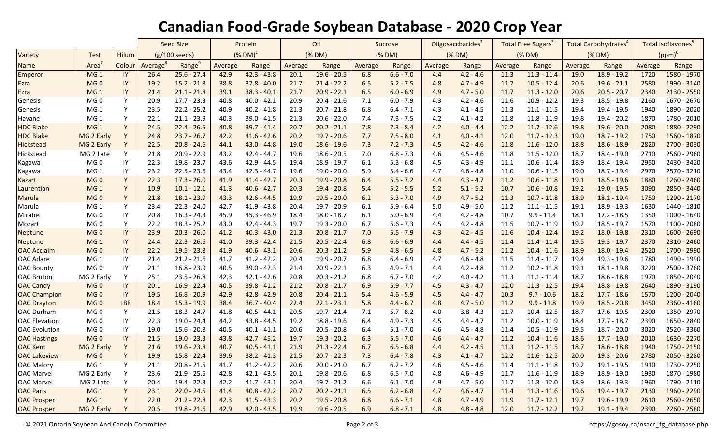## **Canadian Food-Grade Soybean Database - 2020 Crop Year**

|                      |                   |              | Seed Size               |                    | Protein               |               | Oil     |               | Sucrose |             | Oligosaccharides <sup>2</sup> |             | Total Free Sugars <sup>3</sup> |               | <b>Total Carbohydrates<sup>4</sup></b> |               | Total Isoflavones <sup>5</sup> |               |
|----------------------|-------------------|--------------|-------------------------|--------------------|-----------------------|---------------|---------|---------------|---------|-------------|-------------------------------|-------------|--------------------------------|---------------|----------------------------------------|---------------|--------------------------------|---------------|
| Variety              | <b>Test</b>       | Hilum        | $(g/100 \text{ seeds})$ |                    | $(N$ DM) <sup>1</sup> |               | (% DM)  |               | (% DM)  |             | (% DM)                        |             | (% DM)                         |               | (% DM)                                 |               | $(ppm)^6$                      |               |
| <b>Name</b>          | Area <sup>7</sup> | Colour       | Average <sup>8</sup>    | Range <sup>9</sup> | Average               | Range         | Average | Range         | Average | Range       | Average                       | Range       | Average                        | Range         | Average                                | Range         | Average                        | Range         |
| <b>Emperor</b>       | MG <sub>1</sub>   | $\mathsf{I}$ | 26.4                    | $25.6 - 27.4$      | 42.9                  | $42.3 - 43.8$ | 20.1    | $19.6 - 20.5$ | 6.8     | $6.6 - 7.0$ | 4.4                           | $4.2 - 4.6$ | 11.3                           | $11.3 - 11.4$ | 19.0                                   | $18.9 - 19.2$ | 1720                           | 1580 - 1970   |
| Ezra                 | MG <sub>0</sub>   | IY           | 19.2                    | $15.2 - 21.8$      | 38.8                  | $37.8 - 40.0$ | 21.7    | $21.4 - 22.2$ | 6.5     | $5.2 - 7.5$ | 4.8                           | $4.7 - 4.9$ | 11.7                           | $10.5 - 12.4$ | 20.6                                   | $19.6 - 21.1$ | 2580                           | 1990 - 3140   |
| Ezra                 | MG <sub>1</sub>   | IY           | 21.4                    | $21.1 - 21.8$      | 39.1                  | $38.3 - 40.1$ | 21.7    | $20.9 - 22.1$ | 6.5     | $6.0 - 6.9$ | 4.9                           | $4.7 - 5.0$ | 11.7                           | $11.3 - 12.0$ | 20.6                                   | $20.5 - 20.7$ | 2340                           | 2130 - 2550   |
| Genesis              | MG <sub>0</sub>   | Υ            | 20.9                    | $17.7 - 23.3$      | 40.8                  | $40.0 - 42.1$ | 20.9    | $20.4 - 21.6$ | 7.1     | $6.0 - 7.9$ | 4.3                           | $4.2 - 4.6$ | 11.6                           | $10.9 - 12.2$ | 19.3                                   | $18.5 - 19.8$ | 2160                           | 1670 - 2670   |
| Genesis              | MG <sub>1</sub>   | Y            | 23.5                    | $22.2 - 25.2$      | 40.9                  | $40.2 - 41.8$ | 21.3    | $20.7 - 21.8$ | 6.8     | $6.4 - 7.1$ | 4.3                           | $4.1 - 4.5$ | 11.3                           | $11.1 - 11.5$ | 19.4                                   | 19.4 - 19.5   | 1940                           | 1890 - 2020   |
| Havane               | MG <sub>1</sub>   | Υ            | 22.1                    | $21.1 - 23.9$      | 40.3                  | $39.0 - 41.5$ | 21.3    | $20.6 - 22.0$ | 7.4     | $7.3 - 7.5$ | 4.2                           | $4.1 - 4.2$ | 11.8                           | $11.8 - 11.9$ | 19.8                                   | $19.4 - 20.2$ | 1870                           | 1780 - 2010   |
| <b>HDC Blake</b>     | MG <sub>1</sub>   | Y            | 24.5                    | $22.4 - 26.5$      | 40.8                  | $39.7 - 41.4$ | 20.7    | $20.2 - 21.1$ | 7.8     | $7.3 - 8.4$ | 4.2                           | $4.0 - 4.4$ | 12.2                           | $11.7 - 12.6$ | 19.8                                   | $19.6 - 20.0$ | 2080                           | 1880 - 2290   |
| <b>HDC Blake</b>     | MG 2 Early        | Y            | 24.8                    | $23.7 - 26.7$      | 42.2                  | $41.6 - 42.6$ | 20.2    | $19.7 - 20.6$ | 7.7     | $7.5 - 8.0$ | 4.1                           | $4.0 - 4.1$ | 12.0                           | $11.7 - 12.3$ | 19.0                                   | $18.7 - 19.2$ | 1750                           | 1560 - 1870   |
| Hickstead            | MG 2 Early        | Y            | 22.5                    | $20.8 - 24.6$      | 44.1                  | $43.0 - 44.8$ | 19.0    | $18.6 - 19.6$ | 7.3     | $7.2 - 7.3$ | 4.5                           | $4.2 - 4.6$ | 11.8                           | $11.6 - 12.0$ | 18.8                                   | $18.6 - 18.9$ | 2820                           | 2700 - 3030   |
| Hickstead            | MG 2 Late         | Y            | 21.8                    | $20.9 - 22.9$      | 43.2                  | $42.4 - 44.7$ | 19.6    | $18.6 - 20.5$ | 7.0     | $6.8 - 7.3$ | 4.6                           | $4.5 - 4.6$ | 11.8                           | $11.5 - 12.0$ | 18.7                                   | 18.4 - 19.0   | 2710                           | 2560 - 2960   |
| Kagawa               | MG <sub>0</sub>   | IY           | 22.3                    | $19.8 - 23.7$      | 43.6                  | $42.9 - 44.5$ | 19.4    | $18.9 - 19.7$ | 6.1     | $5.3 - 6.8$ | 4.5                           | $4.3 - 4.9$ | 11.1                           | $10.6 - 11.4$ | 18.9                                   | 18.4 - 19.4   | 2950                           | 2430 - 3420   |
| Kagawa               | MG <sub>1</sub>   | IY           | 23.2                    | $22.5 - 23.6$      | 43.4                  | $42.3 - 44.7$ | 19.6    | $19.0 - 20.0$ | 5.9     | $5.4 - 6.6$ | 4.7                           | $4.6 - 4.8$ | 11.0                           | $10.6 - 11.5$ | 19.0                                   | 18.7 - 19.4   | 2970                           | 2570 - 3210   |
| <b>Kazart</b>        | MG <sub>0</sub>   | Y            | 22.3                    | $17.3 - 26.0$      | 41.9                  | $41.4 - 42.7$ | 20.3    | $19.9 - 20.8$ | 6.4     | $5.5 - 7.2$ | 4.4                           | $4.3 - 4.7$ | 11.2                           | $10.6 - 11.8$ | 19.1                                   | $18.5 - 19.6$ | 1880                           | 1260 - 2460   |
| Laurentian           | MG <sub>1</sub>   | Y            | 10.9                    | $10.1 - 12.1$      | 41.3                  | $40.6 - 42.7$ | 20.3    | $19.4 - 20.8$ | 5.4     | $5.2 - 5.5$ | 5.2                           | $5.1 - 5.2$ | 10.7                           | $10.6 - 10.8$ | 19.2                                   | $19.0 - 19.5$ | 3090                           | 2850 - 3440   |
| Marula               | MG <sub>0</sub>   | Y            | 21.8                    | $18.1 - 23.9$      | 43.3                  | $42.6 - 44.5$ | 19.9    | $19.5 - 20.0$ | 6.2     | $5.3 - 7.0$ | 4.9                           | $4.7 - 5.2$ | 11.3                           | $10.7 - 11.8$ | 18.9                                   | $18.1 - 19.4$ | 1750                           | 1290 - 2170   |
| Marula               | MG <sub>1</sub>   | Υ            | 23.4                    | $22.3 - 24.0$      | 42.7                  | $41.9 - 43.8$ | 20.4    | $19.7 - 20.9$ | 6.1     | $5.9 - 6.4$ | 5.0                           | $4.9 - 5.0$ | 11.2                           | $11.1 - 11.5$ | 19.1                                   | 18.9 - 19.3   | 1630                           | 1440 - 1810   |
| Mirabel              | MG 0              | IY           | 20.8                    | $16.3 - 24.3$      | 45.9                  | $45.3 - 46.9$ | 18.4    | $18.0 - 18.7$ | 6.1     | $5.0 - 6.9$ | 4.4                           | $4.2 - 4.8$ | 10.7                           | $9.9 - 11.4$  | 18.1                                   | $17.2 - 18.5$ | 1350                           | $1000 - 1640$ |
| Mozart               | MG <sub>0</sub>   | Y            | 22.2                    | $18.3 - 25.2$      | 43.0                  | $42.4 - 44.3$ | 19.7    | $19.3 - 20.0$ | 6.7     | $5.6 - 7.3$ | 4.5                           | $4.2 - 4.8$ | 11.5                           | $10.7 - 11.9$ | 19.2                                   | $18.5 - 19.7$ | 1570                           | 1100 - 2080   |
| <b>Neptune</b>       | MG <sub>0</sub>   | IY           | 23.9                    | $20.3 - 26.0$      | 41.2                  | $40.3 - 43.0$ | 21.3    | $20.8 - 21.7$ | 7.0     | $5.5 - 7.9$ | 4.3                           | $4.2 - 4.5$ | 11.6                           | $10.4 - 12.4$ | 19.2                                   | $18.0 - 19.8$ | 2310                           | 1600 - 2690   |
| <b>Neptune</b>       | MG <sub>1</sub>   | IY           | 24.4                    | $22.3 - 26.6$      | 41.0                  | $39.3 - 42.4$ | 21.5    | $20.5 - 22.4$ | 6.8     | $6.6 - 6.9$ | 4.4                           | $4.4 - 4.5$ | 11.4                           | $11.4 - 11.4$ | 19.5                                   | $19.3 - 19.7$ | 2370                           | 2310 - 2460   |
| <b>OAC Acclaim</b>   | MG <sub>0</sub>   | IY           | 22.2                    | $19.5 - 23.8$      | 41.9                  | $40.6 - 43.1$ | 20.6    | $20.3 - 21.2$ | 5.9     | $4.8 - 6.5$ | 4.8                           | $4.7 - 5.2$ | 11.2                           | $10.4 - 11.6$ | 18.9                                   | $18.0 - 19.4$ | 2520                           | 1700 - 2990   |
| <b>OAC Adare</b>     | MG <sub>1</sub>   | IY           | 21.4                    | $21.2 - 21.6$      | 41.7                  | $41.2 - 42.2$ | 20.4    | $19.9 - 20.7$ | 6.8     | $6.4 - 6.9$ | 4.7                           | $4.6 - 4.8$ | 11.5                           | $11.4 - 11.7$ | 19.4                                   | 19.3 - 19.6   | 1780                           | 1490 - 1990   |
| <b>OAC Bounty</b>    | MG <sub>0</sub>   | IY           | 21.1                    | $16.8 - 23.9$      | 40.5                  | $39.0 - 42.3$ | 21.4    | $20.9 - 22.1$ | 6.3     | $4.9 - 7.1$ | 4.4                           | $4.2 - 4.8$ | 11.2                           | $10.2 - 11.8$ | 19.1                                   | $18.1 - 19.8$ | 3220                           | 2500 - 3760   |
| <b>OAC Bruton</b>    | MG 2 Early        | Y            | 25.1                    | $23.5 - 26.8$      | 42.3                  | $42.1 - 42.6$ | 20.8    | $20.3 - 21.2$ | 6.8     | $6.7 - 7.0$ | 4.2                           | $4.0 - 4.2$ | 11.3                           | $11.1 - 11.4$ | 18.7                                   | $18.6 - 18.8$ | 1970                           | 1850 - 2040   |
| <b>OAC Candy</b>     | MG <sub>0</sub>   | IY           | 20.1                    | $16.9 - 22.4$      | 40.5                  | $39.8 - 41.2$ | 21.2    | $20.8 - 21.7$ | 6.9     | $5.9 - 7.7$ | 4.5                           | $4.3 - 4.7$ | 12.0                           | $11.3 - 12.5$ | 19.4                                   | $18.8 - 19.8$ | 2640                           | 1890 - 3190   |
| <b>OAC Champion</b>  | MG <sub>0</sub>   | $\sf IY$     | 19.5                    | $16.8 - 20.9$      | 42.9                  | $42.8 - 42.9$ | 20.8    | $20.4 - 21.1$ | 5.4     | $4.6 - 5.9$ | 4.5                           | $4.4 - 4.7$ | 10.3                           | $9.7 - 10.6$  | 18.2                                   | $17.7 - 18.6$ | 1570                           | 1200 - 2040   |
| <b>OAC Drayton</b>   | MG <sub>0</sub>   | LBR          | 18.4                    | $15.3 - 19.9$      | 38.4                  | $36.7 - 40.4$ | 22.4    | $22.1 - 23.1$ | 5.8     | $4.4 - 6.7$ | 4.8                           | $4.7 - 5.0$ | 11.2                           | $9.9 - 11.8$  | 19.9                                   | $18.5 - 20.8$ | 3450                           | 2360 - 4160   |
| <b>OAC Durham</b>    | MG <sub>0</sub>   | Y            | 21.5                    | $18.3 - 24.7$      | 41.8                  | $40.5 - 44.1$ | 20.5    | $19.7 - 21.4$ | 7.1     | $5.7 - 8.2$ | 4.0                           | $3.8 - 4.3$ | 11.7                           | $10.4 - 12.5$ | 18.7                                   | 17.6 - 19.5   | 2300                           | 1350 - 2970   |
| <b>OAC</b> Elevation | MG <sub>0</sub>   | IY           | 22.3                    | 19.0 - 24.4        | 44.2                  | $43.8 - 44.5$ | 19.2    | $18.8 - 19.6$ | 6.4     | $4.9 - 7.3$ | 4.5                           | $4.4 - 4.7$ | 11.2                           | $10.0 - 11.9$ | 18.4                                   | 17.7 - 18.7   | 2390                           | 1650 - 2840   |
| <b>OAC</b> Evolution | MG <sub>0</sub>   | IY           | 19.0                    | $15.6 - 20.8$      | 40.5                  | $40.1 - 41.1$ | 20.6    | $20.5 - 20.8$ | 6.4     | $5.1 - 7.0$ | 4.6                           | $4.5 - 4.8$ | 11.4                           | $10.5 - 11.9$ | 19.5                                   | $18.7 - 20.0$ | 3020                           | 2520 - 3360   |
| <b>OAC Hastings</b>  | MG <sub>0</sub>   | IY           | 21.5                    | $19.0 - 23.3$      | 43.8                  | $42.7 - 45.2$ | 19.7    | $19.3 - 20.2$ | 6.3     | $5.5 - 7.0$ | 4.6                           | $4.4 - 4.7$ | 11.2                           | $10.4 - 11.6$ | 18.6                                   | $17.7 - 19.0$ | 2010                           | 1630 - 2270   |
| <b>OAC Kent</b>      | MG 2 Early        | Y            | 21.6                    | $19.6 - 23.8$      | 40.7                  | $40.5 - 41.1$ | 21.9    | $21.3 - 22.4$ | 6.7     | $6.5 - 6.8$ | 4.4                           | $4.2 - 4.5$ | 11.3                           | $11.2 - 11.5$ | 18.7                                   | $18.6 - 18.8$ | 1940                           | 1750 - 2150   |
| <b>OAC Lakeview</b>  | MG <sub>0</sub>   | Y            | 19.9                    | $15.8 - 22.4$      | 39.6                  | $38.2 - 41.3$ | 21.5    | $20.7 - 22.3$ | 7.3     | $6.4 - 7.8$ | 4.3                           | $4.1 - 4.7$ | 12.2                           | $11.6 - 12.5$ | 20.0                                   | $19.3 - 20.6$ | 2780                           | 2050 - 3280   |
| <b>OAC Malory</b>    | MG <sub>1</sub>   | Y            | 21.1                    | $20.8 - 21.5$      | 41.7                  | $41.2 - 42.2$ | 20.6    | $20.0 - 21.0$ | 6.7     | $6.2 - 7.2$ | 4.6                           | $4.5 - 4.6$ | 11.4                           | $11.1 - 11.8$ | 19.2                                   | $19.1 - 19.5$ | 1910                           | 1730 - 2250   |
| <b>OAC Marvel</b>    | MG 2 Early        | Y            | 23.6                    | $21.9 - 25.5$      | 42.8                  | $42.1 - 43.5$ | 20.1    | $19.8 - 20.6$ | 6.8     | $6.5 - 7.0$ | 4.8                           | $4.6 - 4.9$ | 11.7                           | $11.6 - 11.9$ | 18.9                                   | $18.9 - 19.0$ | 1930                           | 1870 - 1980   |
| <b>OAC Marvel</b>    | MG 2 Late         | Y            | 20.4                    | $19.4 - 22.3$      | 42.2                  | $41.7 - 43.1$ | 20.4    | $19.7 - 21.2$ | 6.6     | $6.1 - 7.0$ | 4.9                           | $4.7 - 5.0$ | 11.7                           | $11.3 - 12.0$ | 18.9                                   | $18.6 - 19.3$ | 1960                           | 1790 - 2110   |
| <b>OAC Paris</b>     | MG <sub>1</sub>   | Y            | 23.1                    | $22.0 - 24.5$      | 41.4                  | $40.8 - 42.2$ | 20.7    | $20.2 - 21.1$ | 6.5     | $6.2 - 6.8$ | 4.7                           | $4.6 - 4.7$ | 11.4                           | $11.3 - 11.6$ | 19.6                                   | $19.4 - 19.7$ | 2130                           | 1960 - 2290   |
| <b>OAC Prosper</b>   | MG <sub>1</sub>   | Y            | 22.0                    | $21.2 - 22.8$      | 42.3                  | $41.5 - 43.3$ | 20.2    | $19.5 - 20.8$ | 6.8     | $6.6 - 7.1$ | 4.8                           | $4.7 - 4.9$ | 11.9                           | $11.7 - 12.1$ | 19.7                                   | $19.6 - 19.9$ | 2610                           | 2560 - 2650   |
| <b>OAC Prosper</b>   | MG 2 Early        | Y            | 20.5                    | $19.8 - 21.6$      | 42.9                  | $42.0 - 43.5$ | 19.9    | $19.6 - 20.5$ | 6.9     | $6.8 - 7.1$ | 4.8                           | $4.8 - 4.8$ | 12.0                           | $11.7 - 12.2$ | 19.2                                   | $19.1 - 19.4$ | 2390                           | 2260 - 2580   |